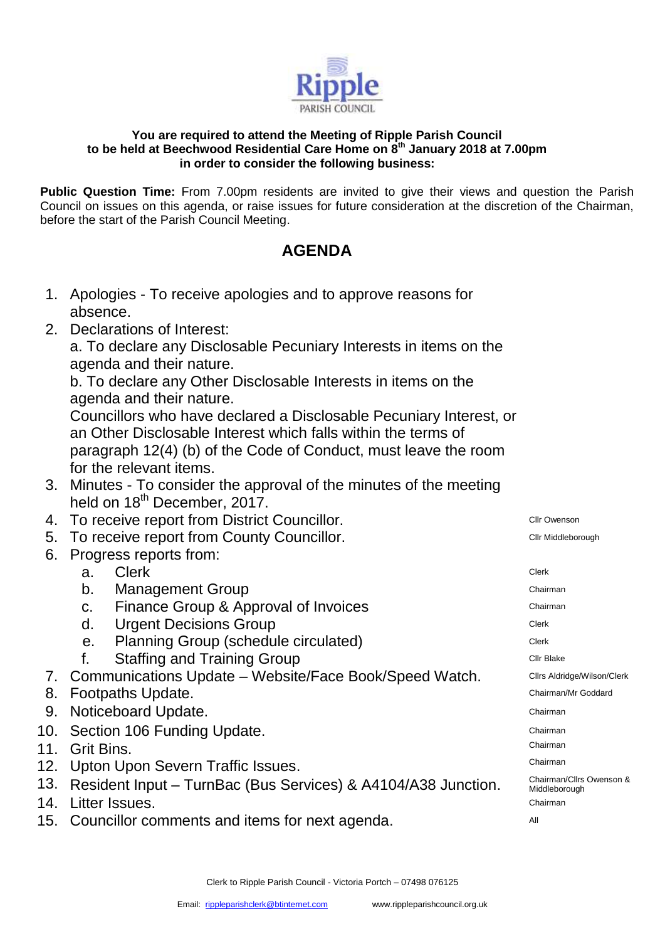

## **You are required to attend the Meeting of Ripple Parish Council to be held at Beechwood Residential Care Home on 8th January 2018 at 7.00pm in order to consider the following business:**

**Public Question Time:** From 7.00pm residents are invited to give their views and question the Parish Council on issues on this agenda, or raise issues for future consideration at the discretion of the Chairman, before the start of the Parish Council Meeting.

## **AGENDA**

- 1. Apologies To receive apologies and to approve reasons for absence.
- 2. Declarations of Interest:

a. To declare any Disclosable Pecuniary Interests in items on the agenda and their nature.

b. To declare any Other Disclosable Interests in items on the agenda and their nature.

Councillors who have declared a Disclosable Pecuniary Interest, or an Other Disclosable Interest which falls within the terms of paragraph 12(4) (b) of the Code of Conduct, must leave the room for the relevant items.

- 3. Minutes To consider the approval of the minutes of the meeting held on 18<sup>th</sup> December, 2017.
- 4. To receive report from District Councillor. The Connection of the Clir Owenson
- 5. To receive report from County Councillor. The contract of the Cllr Middleborough
- 6. Progress reports from:

| a. Clerk | Clerk |
|----------|-------|
|          |       |

- b. Management Group **Chairman**
- c. Finance Group & Approval of Invoices **Example 20** Chairman
- d. Urgent Decisions Group Clerk Clerk Clerk
- e. Planning Group (schedule circulated) Clerk
- f. Staffing and Training Group CILC DEALLY CULT Blake
- 7. Communications Update Website/Face Book/Speed Watch. Cllrs Aldridge/Wilson/Clerk
- 8. Footpaths Update. Chairman/Mr Goddard
- **9. Noticeboard Update.** Chairman **Properties and Chairman** Chairman **Chairman**
- 10. Section 106 Funding Update. The contract of the chairman chairman
- 11. Grit Bins.
- 12. Upton Upon Severn Traffic Issues.
- 13. Resident Input TurnBac (Bus Services) & A4104/A38 Junction.
- 14. Litter Issues. **Chairman**
- 15. Councillor comments and items for next agenda.

Chairman Chairman Chairman/Cllrs Owenson & Middleborough